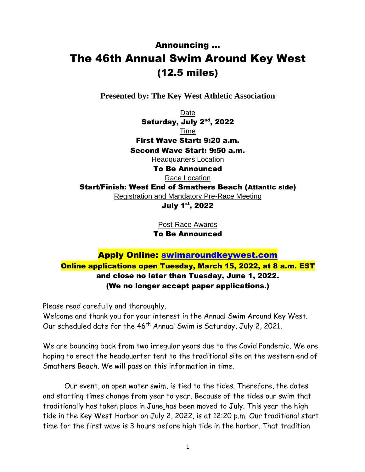## Announcing … The 46th Annual Swim Around Key West (12.5 miles)

**Presented by: The Key West Athletic Association**

Date Saturday, July 2<sup>nd</sup>, 2022 Time First Wave Start: 9:20 a.m. Second Wave Start: 9:50 a.m. Headquarters Location To Be Announced Race Location Start/Finish: West End of Smathers Beach (Atlantic side) Registration and Mandatory Pre-Race Meeting July 1<sup>st</sup>, 2022

Post-Race Awards

To Be Announced

## Apply Online: [swimaroundkeywest.com](http://swimaroundkeywest.com/apply/) Online applications open Tuesday, March 15, 2022, at 8 a.m. EST and close no later than Tuesday, June 1, 2022. (We no longer accept paper applications.)

Please read carefully and thoroughly.

Welcome and thank you for your interest in the Annual Swim Around Key West. Our scheduled date for the 46<sup>th</sup> Annual Swim is Saturday, July 2, 2021.

We are bouncing back from two irregular years due to the Covid Pandemic. We are hoping to erect the headquarter tent to the traditional site on the western end of Smathers Beach. We will pass on this information in time.

Our event, an open water swim, is tied to the tides. Therefore, the dates and starting times change from year to year. Because of the tides our swim that traditionally has taken place in June has been moved to July. This year the high tide in the Key West Harbor on July 2, 2022, is at 12:20 p.m. Our traditional start time for the first wave is 3 hours before high tide in the harbor. That tradition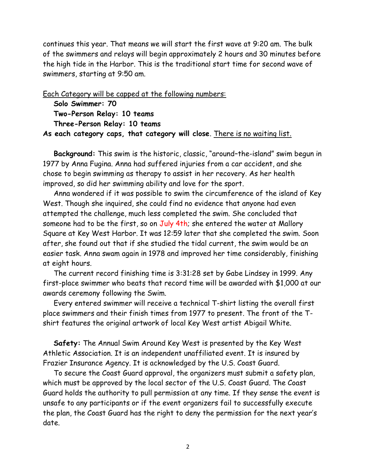continues this year. That means we will start the first wave at 9:20 am. The bulk of the swimmers and relays will begin approximately 2 hours and 30 minutes before the high tide in the Harbor. This is the traditional start time for second wave of swimmers, starting at 9:50 am.

Each Category will be capped at the following numbers: **Solo Swimmer: 70 Two-Person Relay: 10 teams Three-Person Relay: 10 teams As each category caps, that category will close**. There is no waiting list.

**Background:** This swim is the historic, classic, "around–the-island" swim begun in 1977 by Anna Fugina. Anna had suffered injuries from a car accident, and she chose to begin swimming as therapy to assist in her recovery. As her health improved, so did her swimming ability and love for the sport.

Anna wondered if it was possible to swim the circumference of the island of Key West. Though she inquired, she could find no evidence that anyone had even attempted the challenge, much less completed the swim. She concluded that someone had to be the first, so on July 4th; she entered the water at Mallory Square at Key West Harbor. It was 12:59 later that she completed the swim. Soon after, she found out that if she studied the tidal current, the swim would be an easier task. Anna swam again in 1978 and improved her time considerably, finishing at eight hours.

The current record finishing time is 3:31:28 set by Gabe Lindsey in 1999. Any first-place swimmer who beats that record time will be awarded with \$1,000 at our awards ceremony following the Swim.

Every entered swimmer will receive a technical T-shirt listing the overall first place swimmers and their finish times from 1977 to present. The front of the Tshirt features the original artwork of local Key West artist Abigail White.

**Safety:** The Annual Swim Around Key West is presented by the Key West Athletic Association. It is an independent unaffiliated event. It is insured by Frazier Insurance Agency. It is acknowledged by the U.S. Coast Guard.

To secure the Coast Guard approval, the organizers must submit a safety plan, which must be approved by the local sector of the U.S. Coast Guard. The Coast Guard holds the authority to pull permission at any time. If they sense the event is unsafe to any participants or if the event organizers fail to successfully execute the plan, the Coast Guard has the right to deny the permission for the next year's date.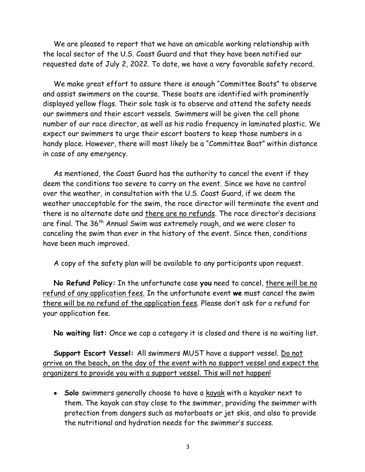We are pleased to report that we have an amicable working relationship with the local sector of the U.S. Coast Guard and that they have been notified our requested date of July 2, 2022. To date, we have a very favorable safety record.

We make great effort to assure there is enough "Committee Boats" to observe and assist swimmers on the course. These boats are identified with prominently displayed yellow flags. Their sole task is to observe and attend the safety needs our swimmers and their escort vessels. Swimmers will be given the cell phone number of our race director, as well as his radio frequency in laminated plastic. We expect our swimmers to urge their escort boaters to keep those numbers in a handy place. However, there will most likely be a "Committee Boat" within distance in case of any emergency.

As mentioned, the Coast Guard has the authority to cancel the event if they deem the conditions too severe to carry on the event. Since we have no control over the weather, in consultation with the U.S. Coast Guard, if we deem the weather unacceptable for the swim, the race director will terminate the event and there is no alternate date and there are no refunds. The race director's decisions are final. The 36<sup>th</sup> Annual Swim was extremely rough, and we were closer to canceling the swim than ever in the history of the event. Since then, conditions have been much improved.

A copy of the safety plan will be available to any participants upon request.

**No Refund Policy:** In the unfortunate case **you** need to cancel, there will be no refund of any application fees. In the unfortunate event **we** must cancel the swim there will be no refund of the application fees. Please don't ask for a refund for your application fee.

**No waiting list:** Once we cap a category it is closed and there is no waiting list.

**Support Escort Vessel:** All swimmers MUST have a support vessel. Do not arrive on the beach, on the day of the event with no support vessel and expect the organizers to provide you with a support vessel. This will not happen!

• **Solo** swimmers generally choose to have a kayak with a kayaker next to them. The kayak can stay close to the swimmer, providing the swimmer with protection from dangers such as motorboats or jet skis, and also to provide the nutritional and hydration needs for the swimmer's success.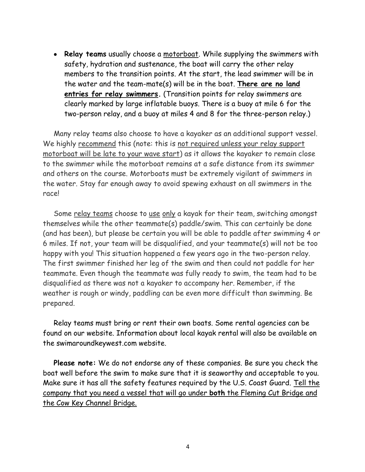• **Relay teams** usually choose a motorboat. While supplying the swimmers with safety, hydration and sustenance, the boat will carry the other relay members to the transition points. At the start, the lead swimmer will be in the water and the team-mate(s) will be in the boat. **There are no land entries for relay swimmers.** (Transition points for relay swimmers are clearly marked by large inflatable buoys. There is a buoy at mile 6 for the two-person relay, and a buoy at miles 4 and 8 for the three-person relay.)

Many relay teams also choose to have a kayaker as an additional support vessel. We highly recommend this (note: this is not required unless your relay support motorboat will be late to your wave start) as it allows the kayaker to remain close to the swimmer while the motorboat remains at a safe distance from its swimmer and others on the course. Motorboats must be extremely vigilant of swimmers in the water. Stay far enough away to avoid spewing exhaust on all swimmers in the race!

Some relay teams choose to use only a kayak for their team, switching amongst themselves while the other teammate(s) paddle/swim. This can certainly be done (and has been), but please be certain you will be able to paddle after swimming 4 or 6 miles. If not, your team will be disqualified, and your teammate(s) will not be too happy with you! This situation happened a few years ago in the two-person relay. The first swimmer finished her leg of the swim and then could not paddle for her teammate. Even though the teammate was fully ready to swim, the team had to be disqualified as there was not a kayaker to accompany her. Remember, if the weather is rough or windy, paddling can be even more difficult than swimming. Be prepared.

Relay teams must bring or rent their own boats. Some rental agencies can be found on our website. Information about local kayak rental will also be available on the swimaroundkeywest.com website.

**Please note:** We do not endorse any of these companies. Be sure you check the boat well before the swim to make sure that it is seaworthy and acceptable to you. Make sure it has all the safety features required by the U.S. Coast Guard. Tell the company that you need a vessel that will go under **both** the Fleming Cut Bridge and the Cow Key Channel Bridge.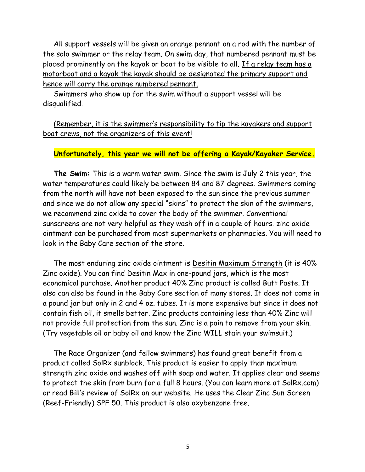All support vessels will be given an orange pennant on a rod with the number of the solo swimmer or the relay team. On swim day, that numbered pennant must be placed prominently on the kayak or boat to be visible to all. If a relay team has a motorboat and a kayak the kayak should be designated the primary support and hence will carry the orange numbered pennant.

Swimmers who show up for the swim without a support vessel will be disqualified.

(Remember, it is the swimmer's responsibility to tip the kayakers and support boat crews, not the organizers of this event!

## **Unfortunately, this year we will not be offering a Kayak/Kayaker Service.**

**The Swim:** This is a warm water swim. Since the swim is July 2 this year, the water temperatures could likely be between 84 and 87 degrees. Swimmers coming from the north will have not been exposed to the sun since the previous summer and since we do not allow any special "skins" to protect the skin of the swimmers, we recommend zinc oxide to cover the body of the swimmer. Conventional sunscreens are not very helpful as they wash off in a couple of hours. zinc oxide ointment can be purchased from most supermarkets or pharmacies. You will need to look in the Baby Care section of the store.

The most enduring zinc oxide ointment is Desitin Maximum Strength (it is 40% Zinc oxide). You can find Desitin Max in one-pound jars, which is the most economical purchase. Another product 40% Zinc product is called Butt Paste. It also can also be found in the Baby Care section of many stores. It does not come in a pound jar but only in 2 and 4 oz. tubes. It is more expensive but since it does not contain fish oil, it smells better. Zinc products containing less than 40% Zinc will not provide full protection from the sun. Zinc is a pain to remove from your skin. (Try vegetable oil or baby oil and know the Zinc WILL stain your swimsuit.)

The Race Organizer (and fellow swimmers) has found great benefit from a product called SolRx sunblock. This product is easier to apply than maximum strength zinc oxide and washes off with soap and water. It applies clear and seems to protect the skin from burn for a full 8 hours. (You can learn more at SolRx.com) or read Bill's review of SolRx on our website. He uses the Clear Zinc Sun Screen (Reef-Friendly) SPF 50. This product is also oxybenzone free.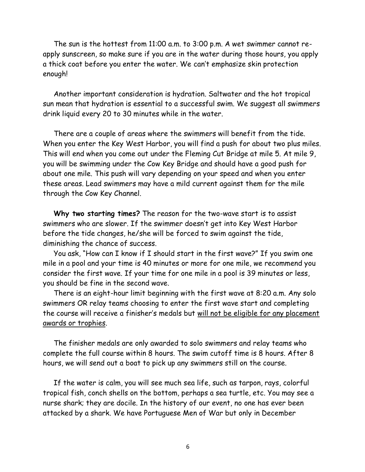The sun is the hottest from 11:00 a.m. to 3:00 p.m. A wet swimmer cannot reapply sunscreen, so make sure if you are in the water during those hours, you apply a thick coat before you enter the water. We can't emphasize skin protection enough!

Another important consideration is hydration. Saltwater and the hot tropical sun mean that hydration is essential to a successful swim. We suggest all swimmers drink liquid every 20 to 30 minutes while in the water.

There are a couple of areas where the swimmers will benefit from the tide. When you enter the Key West Harbor, you will find a push for about two plus miles. This will end when you come out under the Fleming Cut Bridge at mile 5. At mile 9, you will be swimming under the Cow Key Bridge and should have a good push for about one mile. This push will vary depending on your speed and when you enter these areas. Lead swimmers may have a mild current against them for the mile through the Cow Key Channel.

**Why two starting times?** The reason for the two-wave start is to assist swimmers who are slower. If the swimmer doesn't get into Key West Harbor before the tide changes, he/she will be forced to swim against the tide, diminishing the chance of success.

You ask, "How can I know if I should start in the first wave?" If you swim one mile in a pool and your time is 40 minutes or more for one mile, we recommend you consider the first wave. If your time for one mile in a pool is 39 minutes or less, you should be fine in the second wave.

There is an eight-hour limit beginning with the first wave at 8:20 a.m. Any solo swimmers OR relay teams choosing to enter the first wave start and completing the course will receive a finisher's medals but will not be eligible for any placement awards or trophies.

The finisher medals are only awarded to solo swimmers and relay teams who complete the full course within 8 hours. The swim cutoff time is 8 hours. After 8 hours, we will send out a boat to pick up any swimmers still on the course.

If the water is calm, you will see much sea life, such as tarpon, rays, colorful tropical fish, conch shells on the bottom, perhaps a sea turtle, etc. You may see a nurse shark; they are docile. In the history of our event, no one has ever been attacked by a shark. We have Portuguese Men of War but only in December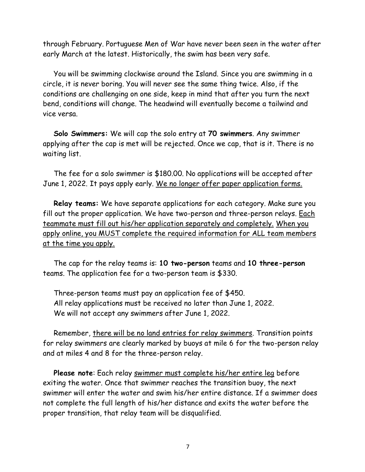through February. Portuguese Men of War have never been seen in the water after early March at the latest. Historically, the swim has been very safe.

You will be swimming clockwise around the Island. Since you are swimming in a circle, it is never boring. You will never see the same thing twice. Also, if the conditions are challenging on one side, keep in mind that after you turn the next bend, conditions will change. The headwind will eventually become a tailwind and vice versa.

**Solo Swimmers:** We will cap the solo entry at **70 swimmers**. Any swimmer applying after the cap is met will be rejected. Once we cap, that is it. There is no waiting list.

The fee for a solo swimmer is \$180.00. No applications will be accepted after June 1, 2022. It pays apply early. We no longer offer paper application forms.

**Relay teams:** We have separate applications for each category. Make sure you fill out the proper application. We have two-person and three-person relays. Each teammate must fill out his/her application separately and completely. When you apply online, you MUST complete the required information for ALL team members at the time you apply.

The cap for the relay teams is: **10 two-person** teams and **10 three-person** teams. The application fee for a two-person team is \$330.

Three-person teams must pay an application fee of \$450. All relay applications must be received no later than June 1, 2022. We will not accept any swimmers after June 1, 2022.

Remember, there will be no land entries for relay swimmers. Transition points for relay swimmers are clearly marked by buoys at mile 6 for the two-person relay and at miles 4 and 8 for the three-person relay.

**Please note**: Each relay swimmer must complete his/her entire leg before exiting the water. Once that swimmer reaches the transition buoy, the next swimmer will enter the water and swim his/her entire distance. If a swimmer does not complete the full length of his/her distance and exits the water before the proper transition, that relay team will be disqualified.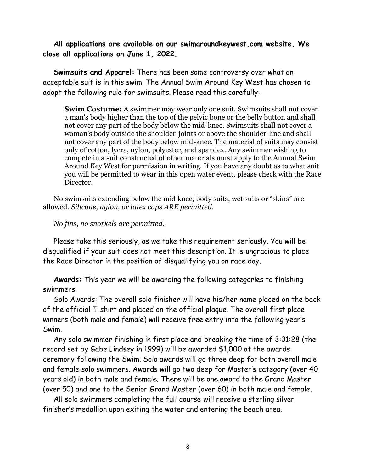**All applications are available on our swimaroundkeywest.com website. We close all applications on June 1, 2022.** 

**Swimsuits and Apparel:** There has been some controversy over what an acceptable suit is in this swim. The Annual Swim Around Key West has chosen to adopt the following rule for swimsuits. Please read this carefully:

**Swim Costume:** A swimmer may wear only one suit. Swimsuits shall not cover a man's body higher than the top of the pelvic bone or the belly button and shall not cover any part of the body below the mid-knee. Swimsuits shall not cover a woman's body outside the shoulder-joints or above the shoulder-line and shall not cover any part of the body below mid-knee. The material of suits may consist only of cotton, lycra, nylon, polyester, and spandex. Any swimmer wishing to compete in a suit constructed of other materials must apply to the Annual Swim Around Key West for permission in writing. If you have any doubt as to what suit you will be permitted to wear in this open water event, please check with the Race Director.

No swimsuits extending below the mid knee, body suits, wet suits or "skins" are allowed. *Silicone, nylon, or latex caps ARE permitted.* 

*No fins, no snorkels are permitted.*

Please take this seriously, as we take this requirement seriously. You will be disqualified if your suit does not meet this description. It is ungracious to place the Race Director in the position of disqualifying you on race day.

**Awards:** This year we will be awarding the following categories to finishing swimmers.

Solo Awards: The overall solo finisher will have his/her name placed on the back of the official T-shirt and placed on the official plaque. The overall first place winners (both male and female) will receive free entry into the following year's Swim.

Any solo swimmer finishing in first place and breaking the time of 3:31:28 (the record set by Gabe Lindsey in 1999) will be awarded \$1,000 at the awards ceremony following the Swim. Solo awards will go three deep for both overall male and female solo swimmers. Awards will go two deep for Master's category (over 40 years old) in both male and female. There will be one award to the Grand Master (over 50) and one to the Senior Grand Master (over 60) in both male and female.

All solo swimmers completing the full course will receive a sterling silver finisher's medallion upon exiting the water and entering the beach area.